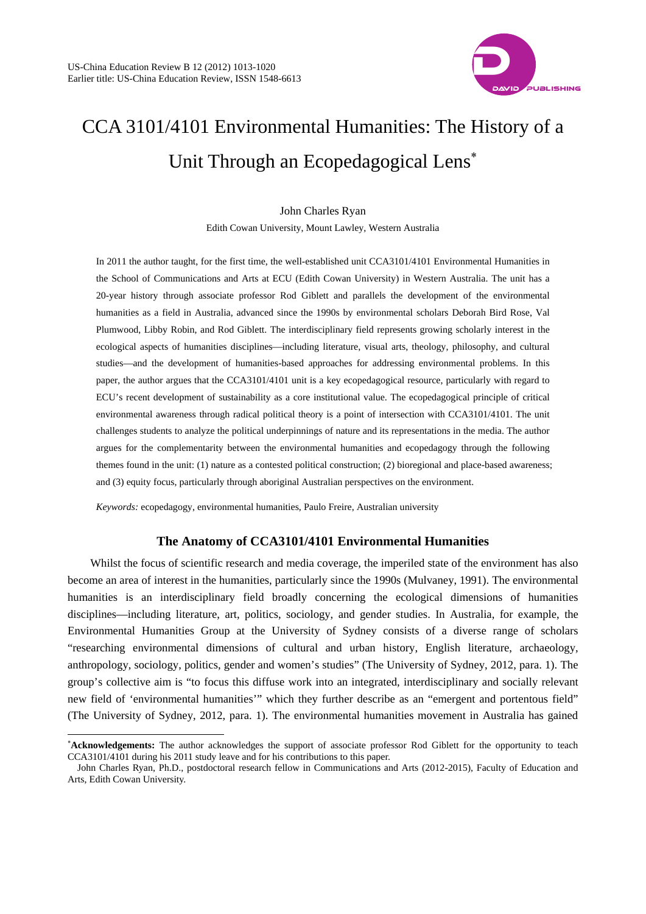

# CCA 3101/4101 Environmental Humanities: The History of a Unit Through an Ecopedagogical Lens

## John Charles Ryan

Edith Cowan University, Mount Lawley, Western Australia

In 2011 the author taught, for the first time, the well-established unit CCA3101/4101 Environmental Humanities in the School of Communications and Arts at ECU (Edith Cowan University) in Western Australia. The unit has a 20-year history through associate professor Rod Giblett and parallels the development of the environmental humanities as a field in Australia, advanced since the 1990s by environmental scholars Deborah Bird Rose, Val Plumwood, Libby Robin, and Rod Giblett. The interdisciplinary field represents growing scholarly interest in the ecological aspects of humanities disciplines—including literature, visual arts, theology, philosophy, and cultural studies—and the development of humanities-based approaches for addressing environmental problems. In this paper, the author argues that the CCA3101/4101 unit is a key ecopedagogical resource, particularly with regard to ECU's recent development of sustainability as a core institutional value. The ecopedagogical principle of critical environmental awareness through radical political theory is a point of intersection with CCA3101/4101. The unit challenges students to analyze the political underpinnings of nature and its representations in the media. The author argues for the complementarity between the environmental humanities and ecopedagogy through the following themes found in the unit: (1) nature as a contested political construction; (2) bioregional and place-based awareness; and (3) equity focus, particularly through aboriginal Australian perspectives on the environment.

*Keywords:* ecopedagogy, environmental humanities, Paulo Freire, Australian university

l

# **The Anatomy of CCA3101/4101 Environmental Humanities**

Whilst the focus of scientific research and media coverage, the imperiled state of the environment has also become an area of interest in the humanities, particularly since the 1990s (Mulvaney, 1991). The environmental humanities is an interdisciplinary field broadly concerning the ecological dimensions of humanities disciplines—including literature, art, politics, sociology, and gender studies. In Australia, for example, the Environmental Humanities Group at the University of Sydney consists of a diverse range of scholars "researching environmental dimensions of cultural and urban history, English literature, archaeology, anthropology, sociology, politics, gender and women's studies" (The University of Sydney, 2012, para. 1). The group's collective aim is "to focus this diffuse work into an integrated, interdisciplinary and socially relevant new field of 'environmental humanities'" which they further describe as an "emergent and portentous field" (The University of Sydney, 2012, para. 1). The environmental humanities movement in Australia has gained

**Acknowledgements:** The author acknowledges the support of associate professor Rod Giblett for the opportunity to teach CCA3101/4101 during his 2011 study leave and for his contributions to this paper.

John Charles Ryan, Ph.D., postdoctoral research fellow in Communications and Arts (2012-2015), Faculty of Education and Arts, Edith Cowan University.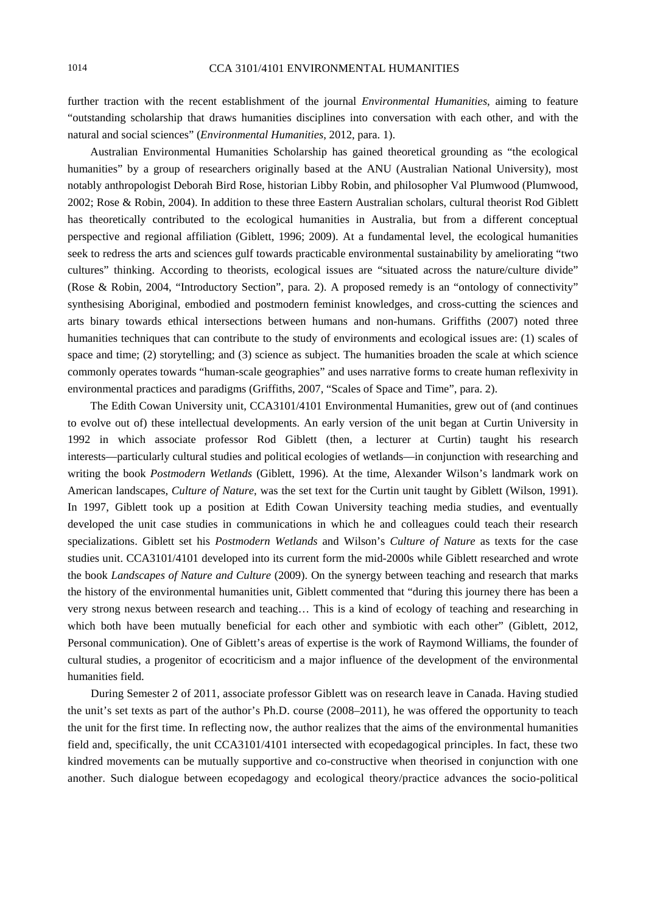further traction with the recent establishment of the journal *Environmental Humanities*, aiming to feature "outstanding scholarship that draws humanities disciplines into conversation with each other, and with the natural and social sciences" (*Environmental Humanities*, 2012, para. 1).

Australian Environmental Humanities Scholarship has gained theoretical grounding as "the ecological humanities" by a group of researchers originally based at the ANU (Australian National University), most notably anthropologist Deborah Bird Rose, historian Libby Robin, and philosopher Val Plumwood (Plumwood, 2002; Rose & Robin, 2004). In addition to these three Eastern Australian scholars, cultural theorist Rod Giblett has theoretically contributed to the ecological humanities in Australia, but from a different conceptual perspective and regional affiliation (Giblett, 1996; 2009). At a fundamental level, the ecological humanities seek to redress the arts and sciences gulf towards practicable environmental sustainability by ameliorating "two cultures" thinking. According to theorists, ecological issues are "situated across the nature/culture divide" (Rose & Robin, 2004, "Introductory Section", para. 2). A proposed remedy is an "ontology of connectivity" synthesising Aboriginal, embodied and postmodern feminist knowledges, and cross-cutting the sciences and arts binary towards ethical intersections between humans and non-humans. Griffiths (2007) noted three humanities techniques that can contribute to the study of environments and ecological issues are: (1) scales of space and time; (2) storytelling; and (3) science as subject. The humanities broaden the scale at which science commonly operates towards "human-scale geographies" and uses narrative forms to create human reflexivity in environmental practices and paradigms (Griffiths, 2007, "Scales of Space and Time", para. 2).

The Edith Cowan University unit, CCA3101/4101 Environmental Humanities, grew out of (and continues to evolve out of) these intellectual developments. An early version of the unit began at Curtin University in 1992 in which associate professor Rod Giblett (then, a lecturer at Curtin) taught his research interests—particularly cultural studies and political ecologies of wetlands—in conjunction with researching and writing the book *Postmodern Wetlands* (Giblett, 1996). At the time, Alexander Wilson's landmark work on American landscapes, *Culture of Nature*, was the set text for the Curtin unit taught by Giblett (Wilson, 1991). In 1997, Giblett took up a position at Edith Cowan University teaching media studies, and eventually developed the unit case studies in communications in which he and colleagues could teach their research specializations. Giblett set his *Postmodern Wetlands* and Wilson's *Culture of Nature* as texts for the case studies unit. CCA3101/4101 developed into its current form the mid-2000s while Giblett researched and wrote the book *Landscapes of Nature and Culture* (2009). On the synergy between teaching and research that marks the history of the environmental humanities unit, Giblett commented that "during this journey there has been a very strong nexus between research and teaching… This is a kind of ecology of teaching and researching in which both have been mutually beneficial for each other and symbiotic with each other" (Giblett, 2012, Personal communication). One of Giblett's areas of expertise is the work of Raymond Williams, the founder of cultural studies, a progenitor of ecocriticism and a major influence of the development of the environmental humanities field.

During Semester 2 of 2011, associate professor Giblett was on research leave in Canada. Having studied the unit's set texts as part of the author's Ph.D. course (2008–2011), he was offered the opportunity to teach the unit for the first time. In reflecting now, the author realizes that the aims of the environmental humanities field and, specifically, the unit CCA3101/4101 intersected with ecopedagogical principles. In fact, these two kindred movements can be mutually supportive and co-constructive when theorised in conjunction with one another. Such dialogue between ecopedagogy and ecological theory/practice advances the socio-political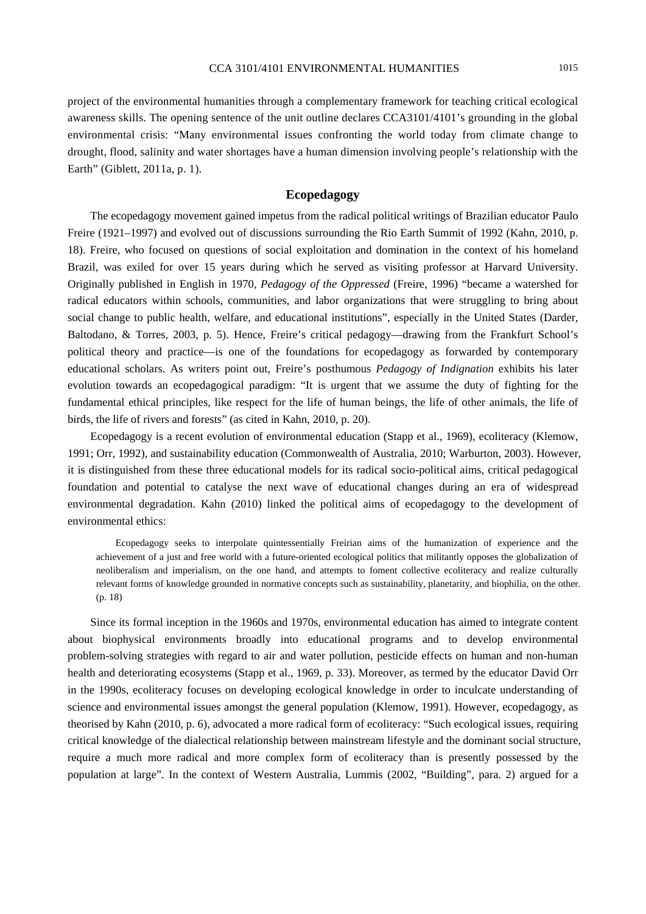project of the environmental humanities through a complementary framework for teaching critical ecological awareness skills. The opening sentence of the unit outline declares CCA3101/4101's grounding in the global environmental crisis: "Many environmental issues confronting the world today from climate change to drought, flood, salinity and water shortages have a human dimension involving people's relationship with the Earth" (Giblett, 2011a, p. 1).

# **Ecopedagogy**

The ecopedagogy movement gained impetus from the radical political writings of Brazilian educator Paulo Freire (1921–1997) and evolved out of discussions surrounding the Rio Earth Summit of 1992 (Kahn, 2010, p. 18). Freire, who focused on questions of social exploitation and domination in the context of his homeland Brazil, was exiled for over 15 years during which he served as visiting professor at Harvard University. Originally published in English in 1970, *Pedagogy of the Oppressed* (Freire, 1996) "became a watershed for radical educators within schools, communities, and labor organizations that were struggling to bring about social change to public health, welfare, and educational institutions", especially in the United States (Darder, Baltodano, & Torres, 2003, p. 5). Hence, Freire's critical pedagogy—drawing from the Frankfurt School's political theory and practice—is one of the foundations for ecopedagogy as forwarded by contemporary educational scholars. As writers point out, Freire's posthumous *Pedagogy of Indignation* exhibits his later evolution towards an ecopedagogical paradigm: "It is urgent that we assume the duty of fighting for the fundamental ethical principles, like respect for the life of human beings, the life of other animals, the life of birds, the life of rivers and forests" (as cited in Kahn, 2010, p. 20).

Ecopedagogy is a recent evolution of environmental education (Stapp et al., 1969), ecoliteracy (Klemow, 1991; Orr, 1992), and sustainability education (Commonwealth of Australia, 2010; Warburton, 2003). However, it is distinguished from these three educational models for its radical socio-political aims, critical pedagogical foundation and potential to catalyse the next wave of educational changes during an era of widespread environmental degradation. Kahn (2010) linked the political aims of ecopedagogy to the development of environmental ethics:

Ecopedagogy seeks to interpolate quintessentially Freirian aims of the humanization of experience and the achievement of a just and free world with a future-oriented ecological politics that militantly opposes the globalization of neoliberalism and imperialism, on the one hand, and attempts to foment collective ecoliteracy and realize culturally relevant forms of knowledge grounded in normative concepts such as sustainability, planetarity, and biophilia, on the other. (p. 18)

Since its formal inception in the 1960s and 1970s, environmental education has aimed to integrate content about biophysical environments broadly into educational programs and to develop environmental problem-solving strategies with regard to air and water pollution, pesticide effects on human and non-human health and deteriorating ecosystems (Stapp et al., 1969, p. 33). Moreover, as termed by the educator David Orr in the 1990s, ecoliteracy focuses on developing ecological knowledge in order to inculcate understanding of science and environmental issues amongst the general population (Klemow, 1991). However, ecopedagogy, as theorised by Kahn (2010, p. 6), advocated a more radical form of ecoliteracy: "Such ecological issues, requiring critical knowledge of the dialectical relationship between mainstream lifestyle and the dominant social structure, require a much more radical and more complex form of ecoliteracy than is presently possessed by the population at large". In the context of Western Australia, Lummis (2002, "Building", para. 2) argued for a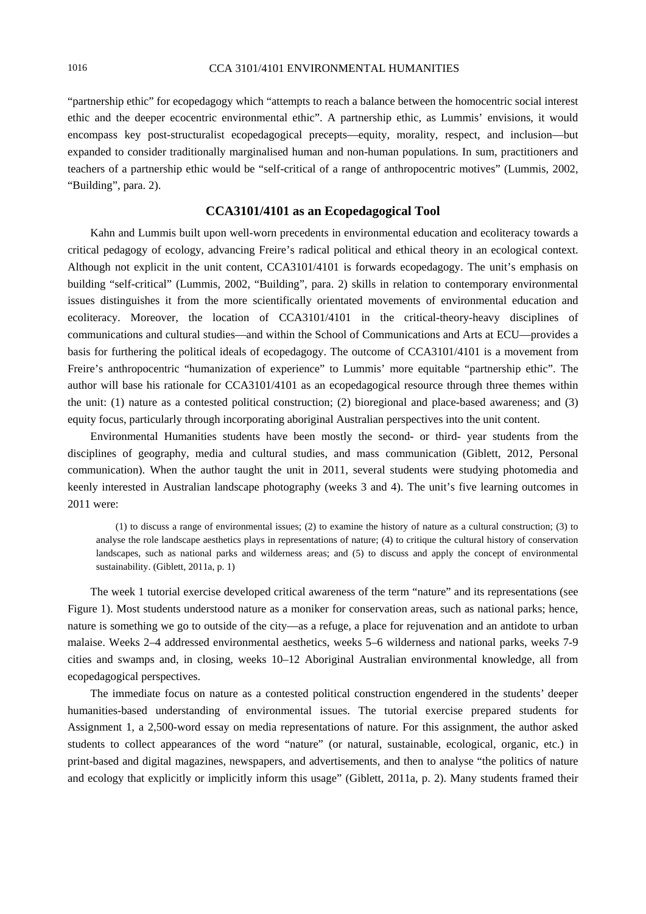"partnership ethic" for ecopedagogy which "attempts to reach a balance between the homocentric social interest ethic and the deeper ecocentric environmental ethic". A partnership ethic, as Lummis' envisions, it would encompass key post-structuralist ecopedagogical precepts—equity, morality, respect, and inclusion—but expanded to consider traditionally marginalised human and non-human populations. In sum, practitioners and teachers of a partnership ethic would be "self-critical of a range of anthropocentric motives" (Lummis, 2002, "Building", para. 2).

## **CCA3101/4101 as an Ecopedagogical Tool**

Kahn and Lummis built upon well-worn precedents in environmental education and ecoliteracy towards a critical pedagogy of ecology, advancing Freire's radical political and ethical theory in an ecological context. Although not explicit in the unit content, CCA3101/4101 is forwards ecopedagogy. The unit's emphasis on building "self-critical" (Lummis, 2002, "Building", para. 2) skills in relation to contemporary environmental issues distinguishes it from the more scientifically orientated movements of environmental education and ecoliteracy. Moreover, the location of CCA3101/4101 in the critical-theory-heavy disciplines of communications and cultural studies—and within the School of Communications and Arts at ECU—provides a basis for furthering the political ideals of ecopedagogy. The outcome of CCA3101/4101 is a movement from Freire's anthropocentric "humanization of experience" to Lummis' more equitable "partnership ethic". The author will base his rationale for CCA3101/4101 as an ecopedagogical resource through three themes within the unit: (1) nature as a contested political construction; (2) bioregional and place-based awareness; and (3) equity focus, particularly through incorporating aboriginal Australian perspectives into the unit content.

Environmental Humanities students have been mostly the second- or third- year students from the disciplines of geography, media and cultural studies, and mass communication (Giblett, 2012, Personal communication). When the author taught the unit in 2011, several students were studying photomedia and keenly interested in Australian landscape photography (weeks 3 and 4). The unit's five learning outcomes in 2011 were:

(1) to discuss a range of environmental issues; (2) to examine the history of nature as a cultural construction; (3) to analyse the role landscape aesthetics plays in representations of nature; (4) to critique the cultural history of conservation landscapes, such as national parks and wilderness areas; and (5) to discuss and apply the concept of environmental sustainability. (Giblett, 2011a, p. 1)

The week 1 tutorial exercise developed critical awareness of the term "nature" and its representations (see Figure 1). Most students understood nature as a moniker for conservation areas, such as national parks; hence, nature is something we go to outside of the city—as a refuge, a place for rejuvenation and an antidote to urban malaise. Weeks 2–4 addressed environmental aesthetics, weeks 5–6 wilderness and national parks, weeks 7-9 cities and swamps and, in closing, weeks 10–12 Aboriginal Australian environmental knowledge, all from ecopedagogical perspectives.

The immediate focus on nature as a contested political construction engendered in the students' deeper humanities-based understanding of environmental issues. The tutorial exercise prepared students for Assignment 1, a 2,500-word essay on media representations of nature. For this assignment, the author asked students to collect appearances of the word "nature" (or natural, sustainable, ecological, organic, etc.) in print-based and digital magazines, newspapers, and advertisements, and then to analyse "the politics of nature and ecology that explicitly or implicitly inform this usage" (Giblett, 2011a, p. 2). Many students framed their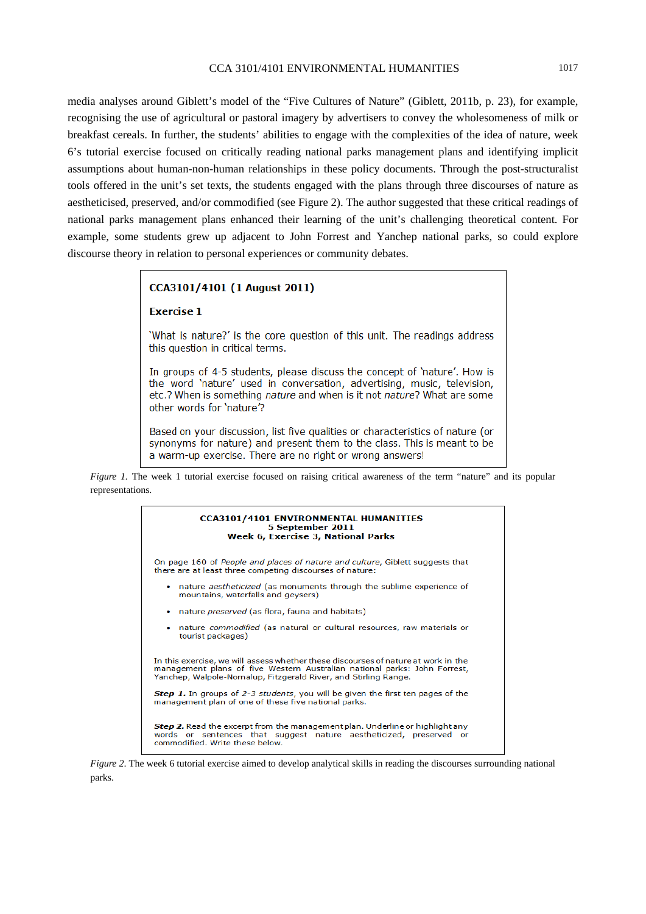media analyses around Giblett's model of the "Five Cultures of Nature" (Giblett, 2011b, p. 23), for example, recognising the use of agricultural or pastoral imagery by advertisers to convey the wholesomeness of milk or breakfast cereals. In further, the students' abilities to engage with the complexities of the idea of nature, week 6's tutorial exercise focused on critically reading national parks management plans and identifying implicit assumptions about human-non-human relationships in these policy documents. Through the post-structuralist tools offered in the unit's set texts, the students engaged with the plans through three discourses of nature as aestheticised, preserved, and/or commodified (see Figure 2). The author suggested that these critical readings of national parks management plans enhanced their learning of the unit's challenging theoretical content. For example, some students grew up adjacent to John Forrest and Yanchep national parks, so could explore discourse theory in relation to personal experiences or community debates.

## CCA3101/4101 (1 August 2011)

#### **Exercise 1**

'What is nature?' is the core question of this unit. The readings address this question in critical terms.

In groups of 4-5 students, please discuss the concept of 'nature'. How is the word 'nature' used in conversation, advertising, music, television, etc.? When is something nature and when is it not nature? What are some other words for 'nature'?

Based on your discussion, list five qualities or characteristics of nature (or synonyms for nature) and present them to the class. This is meant to be a warm-up exercise. There are no right or wrong answers!

*Figure 1.* The week 1 tutorial exercise focused on raising critical awareness of the term "nature" and its popular representations.



*Figure 2*. The week 6 tutorial exercise aimed to develop analytical skills in reading the discourses surrounding national parks.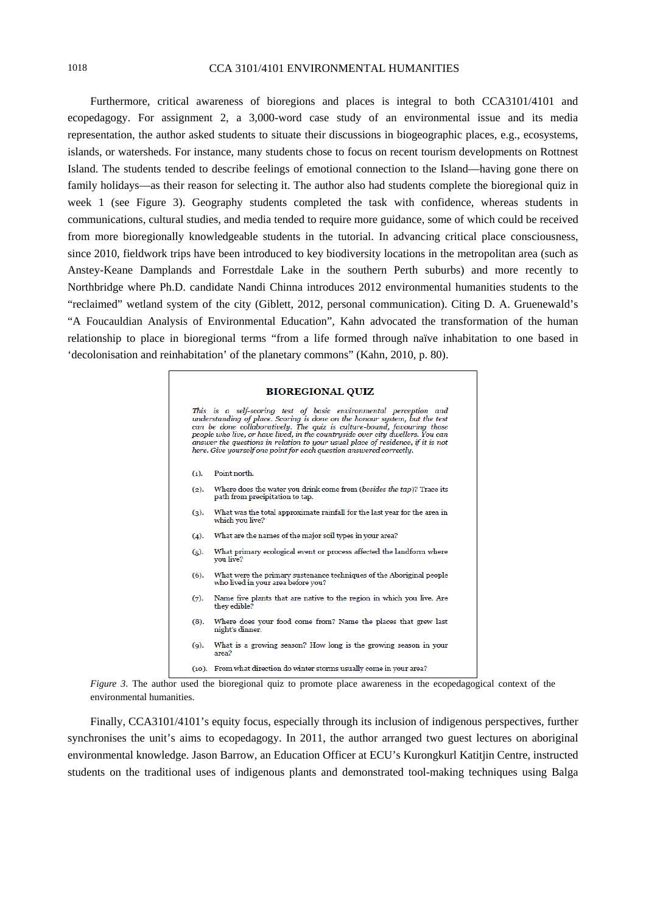## 1018 CCA 3101/4101 ENVIRONMENTAL HUMANITIES

Furthermore, critical awareness of bioregions and places is integral to both CCA3101/4101 and ecopedagogy. For assignment 2, a 3,000-word case study of an environmental issue and its media representation, the author asked students to situate their discussions in biogeographic places, e.g., ecosystems, islands, or watersheds. For instance, many students chose to focus on recent tourism developments on Rottnest Island. The students tended to describe feelings of emotional connection to the Island—having gone there on family holidays—as their reason for selecting it. The author also had students complete the bioregional quiz in week 1 (see Figure 3). Geography students completed the task with confidence, whereas students in communications, cultural studies, and media tended to require more guidance, some of which could be received from more bioregionally knowledgeable students in the tutorial. In advancing critical place consciousness, since 2010, fieldwork trips have been introduced to key biodiversity locations in the metropolitan area (such as Anstey-Keane Damplands and Forrestdale Lake in the southern Perth suburbs) and more recently to Northbridge where Ph.D. candidate Nandi Chinna introduces 2012 environmental humanities students to the "reclaimed" wetland system of the city (Giblett, 2012, personal communication). Citing D. A. Gruenewald's "A Foucauldian Analysis of Environmental Education", Kahn advocated the transformation of the human relationship to place in bioregional terms "from a life formed through naïve inhabitation to one based in 'decolonisation and reinhabitation' of the planetary commons" (Kahn, 2010, p. 80).

## **BIOREGIONAL QUIZ**

This is a self-scoring test of basic environmental perception and understanding of place. Scoring is done on the honour system, but the test can be done collaboratively. The quiz is culture-bound, favouring those people w here. Give yourself one point for each question answered correctly. Point north  $(1)$  $(2).$ Where does the water you drink come from (besides the tap)? Trace its path from precipitation to tap. What was the total approximate rainfall for the last year for the area in  $(3).$ which you live?  $(4).$ What are the names of the major soil types in your area? What primary ecological event or process affected the landform where  $(5)$ . vou live? What were the primary sustenance techniques of the Aboriginal people who lived in your area before you?  $(6)$ Name five plants that are native to the region in which you live. Are  $(7).$ they edible?  $(8)$ . Where does your food come from? Name the places that grew last night's dinner. What is a growing season? How long is the growing season in your  $(9)$ area? (10). From what direction do winter storms usually come in your area?

*Figure 3*. The author used the bioregional quiz to promote place awareness in the ecopedagogical context of the environmental humanities.

Finally, CCA3101/4101's equity focus, especially through its inclusion of indigenous perspectives, further synchronises the unit's aims to ecopedagogy. In 2011, the author arranged two guest lectures on aboriginal environmental knowledge. Jason Barrow, an Education Officer at ECU's Kurongkurl Katitjin Centre, instructed students on the traditional uses of indigenous plants and demonstrated tool-making techniques using Balga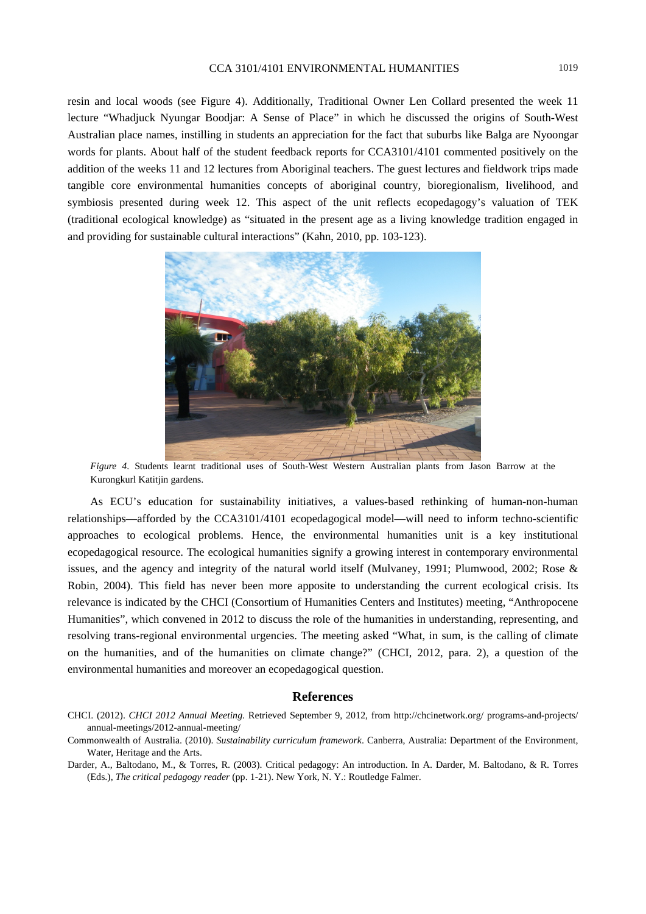# CCA 3101/4101 ENVIRONMENTAL HUMANITIES 1019

resin and local woods (see Figure 4). Additionally, Traditional Owner Len Collard presented the week 11 lecture "Whadjuck Nyungar Boodjar: A Sense of Place" in which he discussed the origins of South-West Australian place names, instilling in students an appreciation for the fact that suburbs like Balga are Nyoongar words for plants. About half of the student feedback reports for CCA3101/4101 commented positively on the addition of the weeks 11 and 12 lectures from Aboriginal teachers. The guest lectures and fieldwork trips made tangible core environmental humanities concepts of aboriginal country, bioregionalism, livelihood, and symbiosis presented during week 12. This aspect of the unit reflects ecopedagogy's valuation of TEK (traditional ecological knowledge) as "situated in the present age as a living knowledge tradition engaged in and providing for sustainable cultural interactions" (Kahn, 2010, pp. 103-123).



*Figure 4*. Students learnt traditional uses of South-West Western Australian plants from Jason Barrow at the Kurongkurl Katitjin gardens.

As ECU's education for sustainability initiatives, a values-based rethinking of human-non-human relationships—afforded by the CCA3101/4101 ecopedagogical model—will need to inform techno-scientific approaches to ecological problems. Hence, the environmental humanities unit is a key institutional ecopedagogical resource. The ecological humanities signify a growing interest in contemporary environmental issues, and the agency and integrity of the natural world itself (Mulvaney, 1991; Plumwood, 2002; Rose & Robin, 2004). This field has never been more apposite to understanding the current ecological crisis. Its relevance is indicated by the CHCI (Consortium of Humanities Centers and Institutes) meeting, "Anthropocene Humanities", which convened in 2012 to discuss the role of the humanities in understanding, representing, and resolving trans-regional environmental urgencies. The meeting asked "What, in sum, is the calling of climate on the humanities, and of the humanities on climate change?" (CHCI, 2012, para. 2), a question of the environmental humanities and moreover an ecopedagogical question.

#### **References**

- CHCI. (2012). *CHCI 2012 Annual Meeting*. Retrieved September 9, 2012, from http://chcinetwork.org/ programs-and-projects/ annual-meetings/2012-annual-meeting/
- Commonwealth of Australia. (2010). *Sustainability curriculum framework*. Canberra, Australia: Department of the Environment, Water, Heritage and the Arts.

Darder, A., Baltodano, M., & Torres, R. (2003). Critical pedagogy: An introduction. In A. Darder, M. Baltodano, & R. Torres (Eds.), *The critical pedagogy reader* (pp. 1-21). New York, N. Y.: Routledge Falmer.